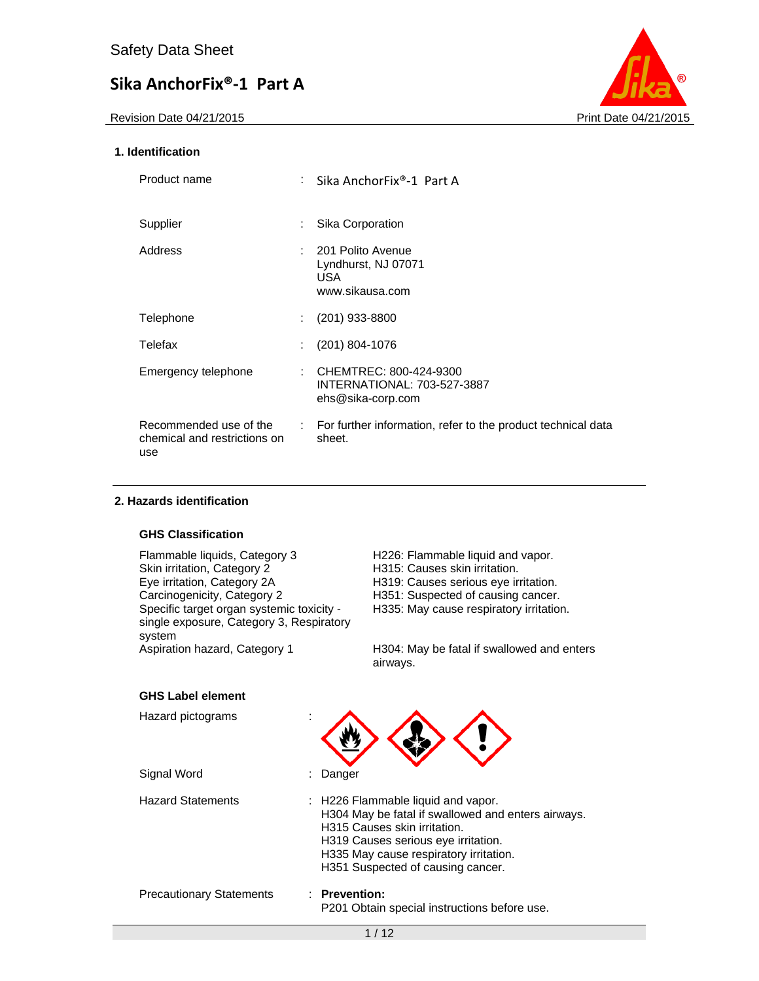Revision Date 04/21/2015 **Print Date 04/21/2015** 



### **1. Identification**

| Product name                                                  |                           | Sika AnchorFix®-1 Part A                                                   |
|---------------------------------------------------------------|---------------------------|----------------------------------------------------------------------------|
| Supplier                                                      | $\mathbb{R}^{\mathbb{Z}}$ | Sika Corporation                                                           |
| Address                                                       |                           | : 201 Polito Avenue<br>Lyndhurst, NJ 07071<br>USA.<br>www.sikausa.com      |
| Telephone                                                     | t i                       | $(201)$ 933-8800                                                           |
| Telefax                                                       | ÷.                        | $(201)$ 804-1076                                                           |
| Emergency telephone                                           | ÷.                        | CHEMTREC: 800-424-9300<br>INTERNATIONAL: 703-527-3887<br>ehs@sika-corp.com |
| Recommended use of the<br>chemical and restrictions on<br>use |                           | : For further information, refer to the product technical data<br>sheet.   |

#### **2. Hazards identification**

### **GHS Classification**

Flammable liquids, Category 3 H226: Flammable liquid and vapor.<br>
Skin irritation, Category 2 H315: Causes skin irritation. Skin irritation, Category 2 H315: Causes skin irritation.<br>
Eye irritation, Category 2A H319: Causes serious eye ir Eye irritation, Category 2A H319: Causes serious eye irritation.<br>Carcinogenicity, Category 2 H351: Suspected of causing cancer. Specific target organ systemic toxicity single exposure, Category 3, Respiratory system<br>Aspiration hazard, Category 1

H351: Suspected of causing cancer. H335: May cause respiratory irritation.

H304: May be fatal if swallowed and enters airways.

#### **GHS Label element**

| Hazard pictograms               |                                                                                                                                                                                                                                                |
|---------------------------------|------------------------------------------------------------------------------------------------------------------------------------------------------------------------------------------------------------------------------------------------|
| Signal Word                     | Danger                                                                                                                                                                                                                                         |
| <b>Hazard Statements</b>        | : H226 Flammable liquid and vapor.<br>H304 May be fatal if swallowed and enters airways.<br>H315 Causes skin irritation.<br>H319 Causes serious eye irritation.<br>H335 May cause respiratory irritation.<br>H351 Suspected of causing cancer. |
| <b>Precautionary Statements</b> | <b>Prevention:</b><br>P201 Obtain special instructions before use.                                                                                                                                                                             |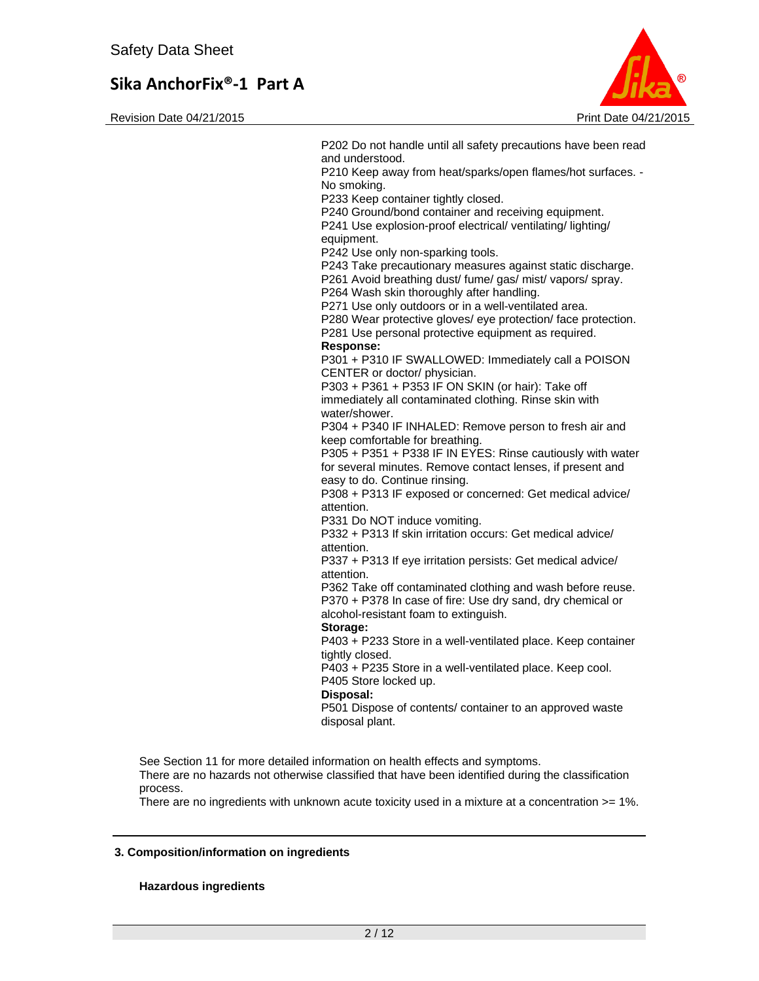Revision Date 04/21/2015 **Print Date 04/21/2015** Print Date 04/21/2015



P202 Do not handle until all safety precautions have been read and understood. P210 Keep away from heat/sparks/open flames/hot surfaces. - No smoking. P233 Keep container tightly closed. P240 Ground/bond container and receiving equipment. P241 Use explosion-proof electrical/ ventilating/ lighting/ equipment. P242 Use only non-sparking tools. P243 Take precautionary measures against static discharge. P261 Avoid breathing dust/ fume/ gas/ mist/ vapors/ spray. P264 Wash skin thoroughly after handling. P271 Use only outdoors or in a well-ventilated area. P280 Wear protective gloves/ eye protection/ face protection. P281 Use personal protective equipment as required. **Response:**  P301 + P310 IF SWALLOWED: Immediately call a POISON CENTER or doctor/ physician. P303 + P361 + P353 IF ON SKIN (or hair): Take off immediately all contaminated clothing. Rinse skin with water/shower. P304 + P340 IF INHALED: Remove person to fresh air and keep comfortable for breathing. P305 + P351 + P338 IF IN EYES: Rinse cautiously with water for several minutes. Remove contact lenses, if present and easy to do. Continue rinsing. P308 + P313 IF exposed or concerned: Get medical advice/ attention. P331 Do NOT induce vomiting. P332 + P313 If skin irritation occurs: Get medical advice/ attention. P337 + P313 If eye irritation persists: Get medical advice/ attention. P362 Take off contaminated clothing and wash before reuse. P370 + P378 In case of fire: Use dry sand, dry chemical or alcohol-resistant foam to extinguish. **Storage:**  P403 + P233 Store in a well-ventilated place. Keep container tightly closed. P403 + P235 Store in a well-ventilated place. Keep cool. P405 Store locked up. **Disposal:**  P501 Dispose of contents/ container to an approved waste disposal plant. See Section 11 for more detailed information on health effects and symptoms. There are no hazards not otherwise classified that have been identified during the classification

There are no ingredients with unknown acute toxicity used in a mixture at a concentration >= 1%.

#### **3. Composition/information on ingredients**

#### **Hazardous ingredients**

process.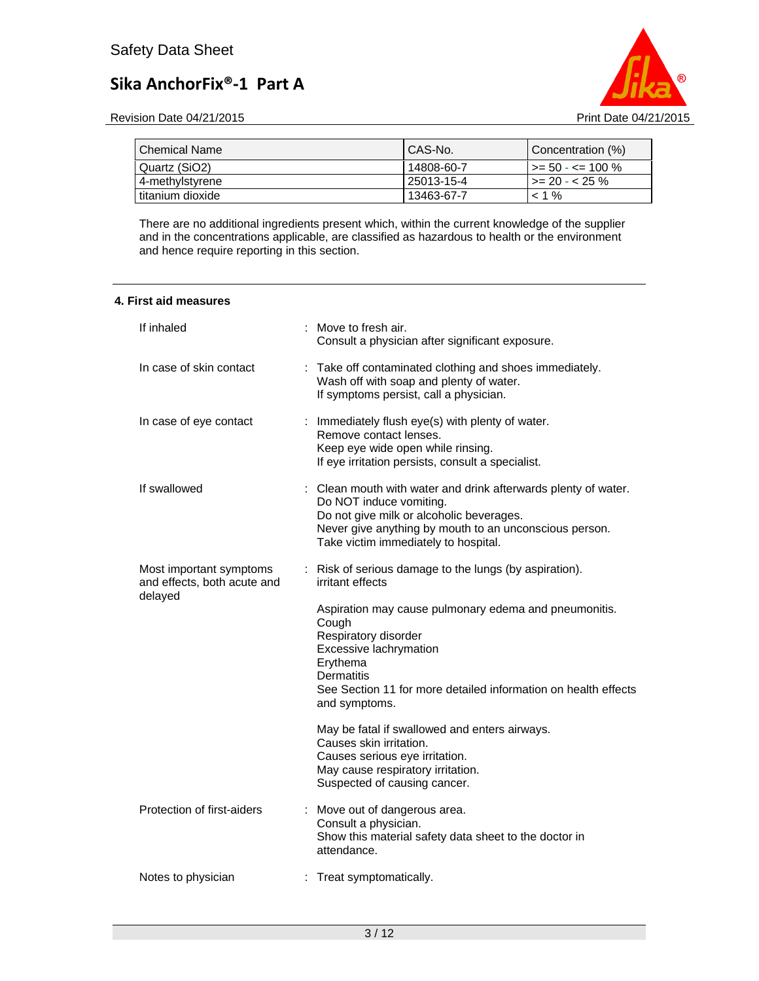

Revision Date 04/21/2015 **Print Date 04/21/2015** 

| . Chemical Name  | CAS-No.    | Concentration (%)             |
|------------------|------------|-------------------------------|
| Quartz (SiO2)    | 14808-60-7 | $\rightarrow$ = 50 - <= 100 % |
| 4-methylstyrene  | 25013-15-4 | $\vert$ >= 20 - < 25 %        |
| titanium dioxide | 13463-67-7 | $< 1\%$                       |

There are no additional ingredients present which, within the current knowledge of the supplier and in the concentrations applicable, are classified as hazardous to health or the environment and hence require reporting in this section.

| 4. First aid measures |  |
|-----------------------|--|
|-----------------------|--|

| If inhaled                                                        | : Move to fresh air.<br>Consult a physician after significant exposure.                                                                                                                                                                                                                                            |
|-------------------------------------------------------------------|--------------------------------------------------------------------------------------------------------------------------------------------------------------------------------------------------------------------------------------------------------------------------------------------------------------------|
| In case of skin contact                                           | : Take off contaminated clothing and shoes immediately.<br>Wash off with soap and plenty of water.<br>If symptoms persist, call a physician.                                                                                                                                                                       |
| In case of eye contact                                            | : Immediately flush eye(s) with plenty of water.<br>Remove contact lenses.<br>Keep eye wide open while rinsing.<br>If eye irritation persists, consult a specialist.                                                                                                                                               |
| If swallowed                                                      | Clean mouth with water and drink afterwards plenty of water.<br>Do NOT induce vomiting.<br>Do not give milk or alcoholic beverages.<br>Never give anything by mouth to an unconscious person.<br>Take victim immediately to hospital.                                                                              |
| Most important symptoms<br>and effects, both acute and<br>delayed | : Risk of serious damage to the lungs (by aspiration).<br>irritant effects<br>Aspiration may cause pulmonary edema and pneumonitis.<br>Cough<br>Respiratory disorder<br>Excessive lachrymation<br>Erythema<br><b>Dermatitis</b><br>See Section 11 for more detailed information on health effects<br>and symptoms. |
|                                                                   | May be fatal if swallowed and enters airways.<br>Causes skin irritation.<br>Causes serious eye irritation.<br>May cause respiratory irritation.<br>Suspected of causing cancer.                                                                                                                                    |
| Protection of first-aiders                                        | Move out of dangerous area.<br>Consult a physician.<br>Show this material safety data sheet to the doctor in<br>attendance.                                                                                                                                                                                        |
| Notes to physician                                                | : Treat symptomatically.                                                                                                                                                                                                                                                                                           |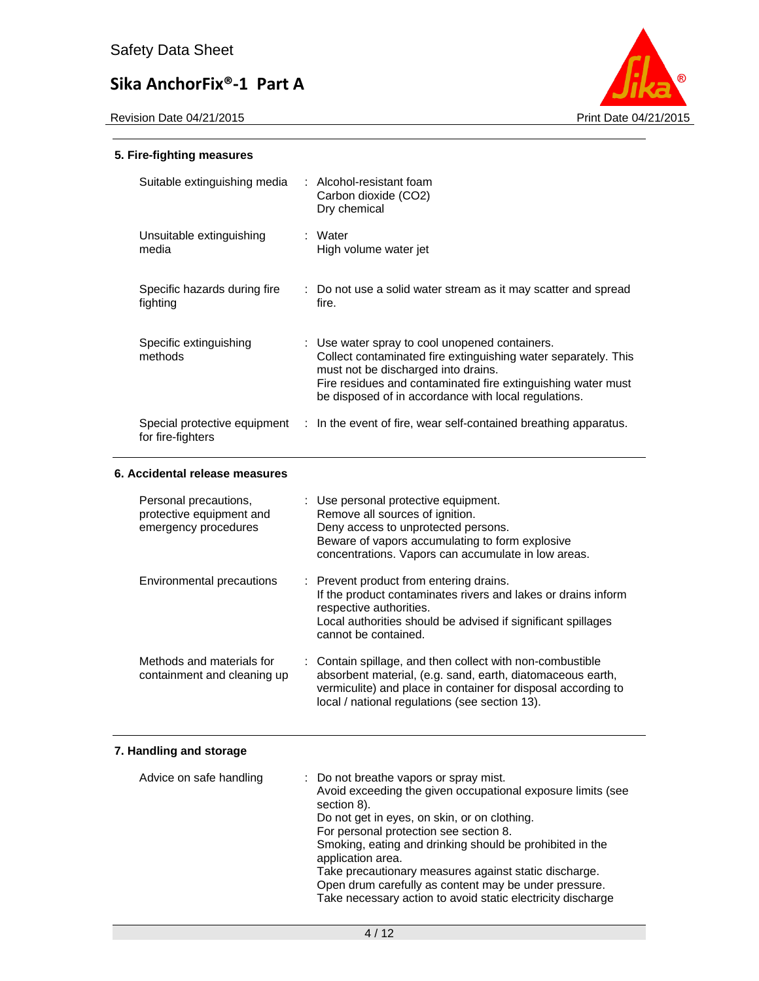

### **5. Fire-fighting measures**

| Suitable extinguishing media                                              | : Alcohol-resistant foam<br>Carbon dioxide (CO2)<br>Dry chemical                                                                                                                                                                                                                |
|---------------------------------------------------------------------------|---------------------------------------------------------------------------------------------------------------------------------------------------------------------------------------------------------------------------------------------------------------------------------|
| Unsuitable extinguishing<br>media                                         | : Water<br>High volume water jet                                                                                                                                                                                                                                                |
| Specific hazards during fire<br>fighting                                  | : Do not use a solid water stream as it may scatter and spread<br>fire.                                                                                                                                                                                                         |
| Specific extinguishing<br>methods                                         | : Use water spray to cool unopened containers.<br>Collect contaminated fire extinguishing water separately. This<br>must not be discharged into drains.<br>Fire residues and contaminated fire extinguishing water must<br>be disposed of in accordance with local regulations. |
| for fire-fighters                                                         | Special protective equipment : In the event of fire, wear self-contained breathing apparatus.                                                                                                                                                                                   |
|                                                                           |                                                                                                                                                                                                                                                                                 |
| 6. Accidental release measures                                            |                                                                                                                                                                                                                                                                                 |
| Personal precautions,<br>protective equipment and<br>emergency procedures | : Use personal protective equipment.<br>Remove all sources of ignition.<br>Deny access to unprotected persons.<br>Beware of vapors accumulating to form explosive<br>concentrations. Vapors can accumulate in low areas.                                                        |
| Environmental precautions                                                 | Prevent product from entering drains.<br>If the product contaminates rivers and lakes or drains inform<br>respective authorities.<br>Local authorities should be advised if significant spillages<br>cannot be contained.                                                       |

## **7. Handling and storage**

| Advice on safe handling | : Do not breathe vapors or spray mist.<br>Avoid exceeding the given occupational exposure limits (see<br>section 8).<br>Do not get in eyes, on skin, or on clothing.<br>For personal protection see section 8.<br>Smoking, eating and drinking should be prohibited in the<br>application area.<br>Take precautionary measures against static discharge.<br>Open drum carefully as content may be under pressure.<br>Take necessary action to avoid static electricity discharge |
|-------------------------|----------------------------------------------------------------------------------------------------------------------------------------------------------------------------------------------------------------------------------------------------------------------------------------------------------------------------------------------------------------------------------------------------------------------------------------------------------------------------------|
|                         |                                                                                                                                                                                                                                                                                                                                                                                                                                                                                  |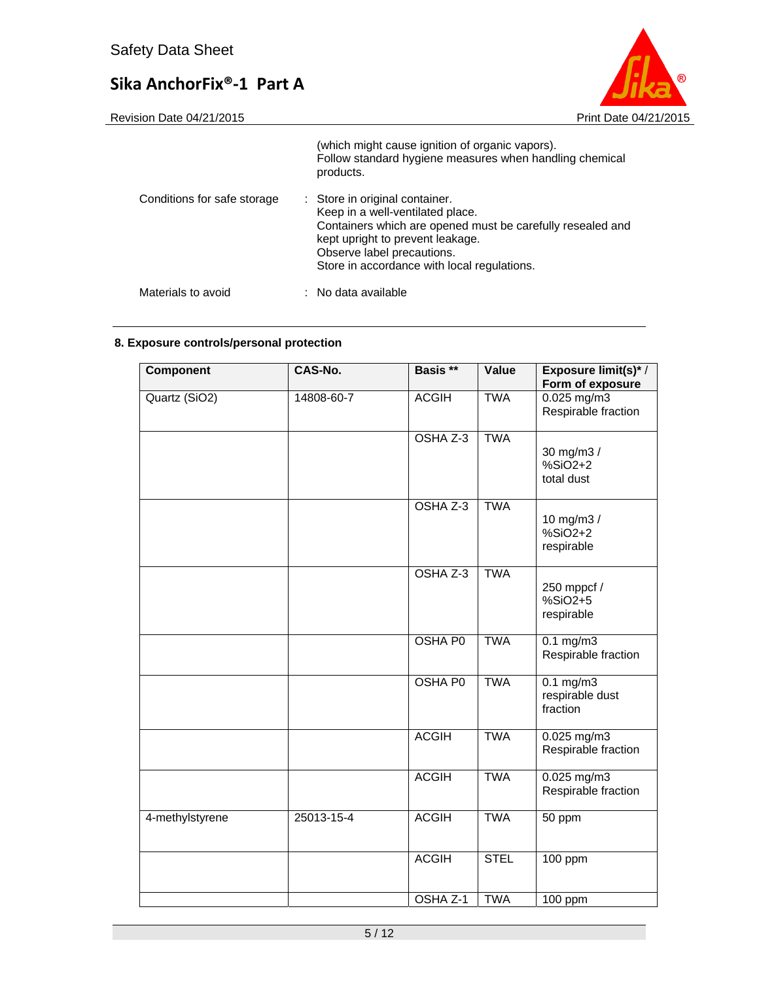

|                             | (which might cause ignition of organic vapors).<br>Follow standard hygiene measures when handling chemical<br>products.                                                                                                                           |
|-----------------------------|---------------------------------------------------------------------------------------------------------------------------------------------------------------------------------------------------------------------------------------------------|
| Conditions for safe storage | : Store in original container.<br>Keep in a well-ventilated place.<br>Containers which are opened must be carefully resealed and<br>kept upright to prevent leakage.<br>Observe label precautions.<br>Store in accordance with local regulations. |
| Materials to avoid          | : No data available                                                                                                                                                                                                                               |

## **8. Exposure controls/personal protection**

| Component       | CAS-No.    | Basis <sup>**</sup> | Value       | Exposure limit(s)*/                        |
|-----------------|------------|---------------------|-------------|--------------------------------------------|
|                 |            |                     |             | Form of exposure                           |
| Quartz (SiO2)   | 14808-60-7 | <b>ACGIH</b>        | <b>TWA</b>  | $0.025$ mg/m3<br>Respirable fraction       |
|                 |            | OSHA Z-3            | <b>TWA</b>  | 30 mg/m3 /<br>$%SiO2+2$<br>total dust      |
|                 |            | OSHA Z-3            | <b>TWA</b>  | 10 mg/m3 /<br>$%SiO2+2$<br>respirable      |
|                 |            | OSHA Z-3            | <b>TWA</b>  | 250 mppcf /<br>%SiO2+5<br>respirable       |
|                 |            | <b>OSHA P0</b>      | <b>TWA</b>  | $0.1$ mg/m3<br>Respirable fraction         |
|                 |            | <b>OSHA PO</b>      | <b>TWA</b>  | $0.1$ mg/m3<br>respirable dust<br>fraction |
|                 |            | <b>ACGIH</b>        | <b>TWA</b>  | $0.025$ mg/m3<br>Respirable fraction       |
|                 |            | <b>ACGIH</b>        | <b>TWA</b>  | 0.025 mg/m3<br>Respirable fraction         |
| 4-methylstyrene | 25013-15-4 | <b>ACGIH</b>        | <b>TWA</b>  | 50 ppm                                     |
|                 |            | <b>ACGIH</b>        | <b>STEL</b> | 100 ppm                                    |
|                 |            | OSHA Z-1            | <b>TWA</b>  | 100 ppm                                    |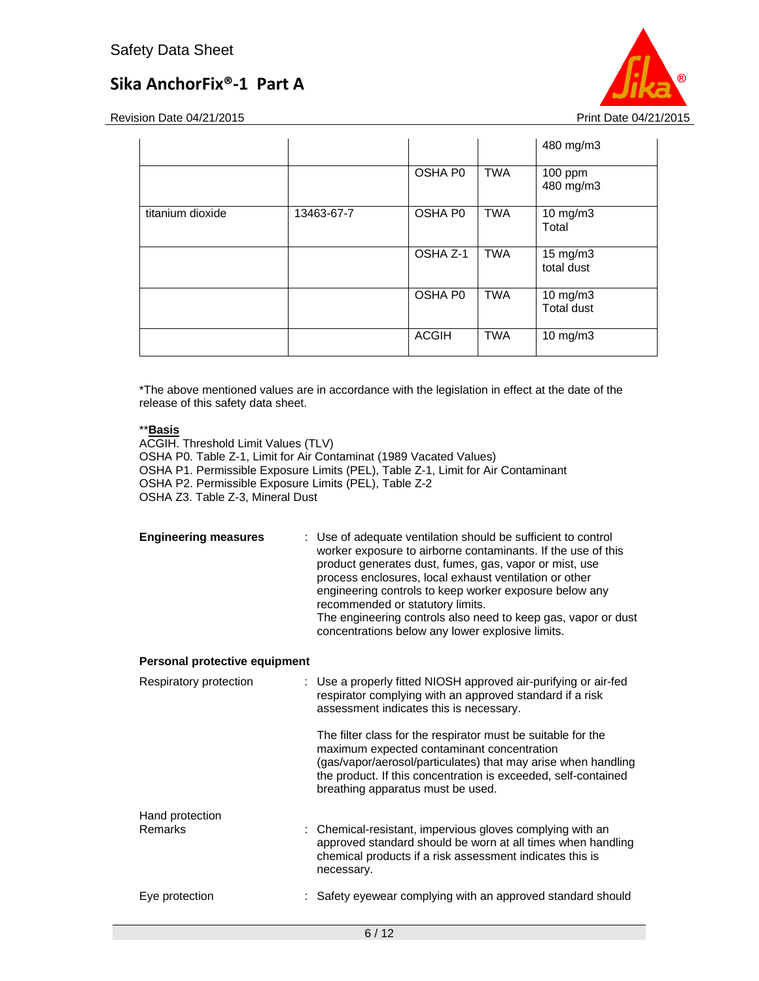Revision Date 04/21/2015 **Print Date 04/21/2015** 

|                  |            |              |            | 480 mg/m3                     |
|------------------|------------|--------------|------------|-------------------------------|
|                  |            | OSHA P0      | <b>TWA</b> | 100 ppm<br>480 mg/m3          |
| titanium dioxide | 13463-67-7 | OSHA P0      | TWA        | 10 mg/m3<br>Total             |
|                  |            | OSHA Z-1     | <b>TWA</b> | 15 mg/m3<br>total dust        |
|                  |            | OSHA P0      | <b>TWA</b> | 10 mg/m3<br><b>Total dust</b> |
|                  |            | <b>ACGIH</b> | <b>TWA</b> | 10 mg/m3                      |

\*The above mentioned values are in accordance with the legislation in effect at the date of the release of this safety data sheet.

### \*\***Basis**

ACGIH. Threshold Limit Values (TLV) OSHA P0. Table Z-1, Limit for Air Contaminat (1989 Vacated Values) OSHA P1. Permissible Exposure Limits (PEL), Table Z-1, Limit for Air Contaminant OSHA P2. Permissible Exposure Limits (PEL), Table Z-2 OSHA Z3. Table Z-3, Mineral Dust

| <b>Engineering measures</b> | : Use of adequate ventilation should be sufficient to control<br>worker exposure to airborne contaminants. If the use of this<br>product generates dust, fumes, gas, vapor or mist, use<br>process enclosures, local exhaust ventilation or other<br>engineering controls to keep worker exposure below any<br>recommended or statutory limits.<br>The engineering controls also need to keep gas, vapor or dust<br>concentrations below any lower explosive limits. |
|-----------------------------|----------------------------------------------------------------------------------------------------------------------------------------------------------------------------------------------------------------------------------------------------------------------------------------------------------------------------------------------------------------------------------------------------------------------------------------------------------------------|
|-----------------------------|----------------------------------------------------------------------------------------------------------------------------------------------------------------------------------------------------------------------------------------------------------------------------------------------------------------------------------------------------------------------------------------------------------------------------------------------------------------------|

### **Personal protective equipment**

| Respiratory protection | : Use a properly fitted NIOSH approved air-purifying or air-fed<br>respirator complying with an approved standard if a risk<br>assessment indicates this is necessary.                                                                                                             |
|------------------------|------------------------------------------------------------------------------------------------------------------------------------------------------------------------------------------------------------------------------------------------------------------------------------|
|                        | The filter class for the respirator must be suitable for the<br>maximum expected contaminant concentration<br>(gas/vapor/aerosol/particulates) that may arise when handling<br>the product. If this concentration is exceeded, self-contained<br>breathing apparatus must be used. |
| Hand protection        |                                                                                                                                                                                                                                                                                    |
| Remarks                | : Chemical-resistant, impervious gloves complying with an<br>approved standard should be worn at all times when handling<br>chemical products if a risk assessment indicates this is<br>necessary.                                                                                 |
| Eye protection         | : Safety eyewear complying with an approved standard should                                                                                                                                                                                                                        |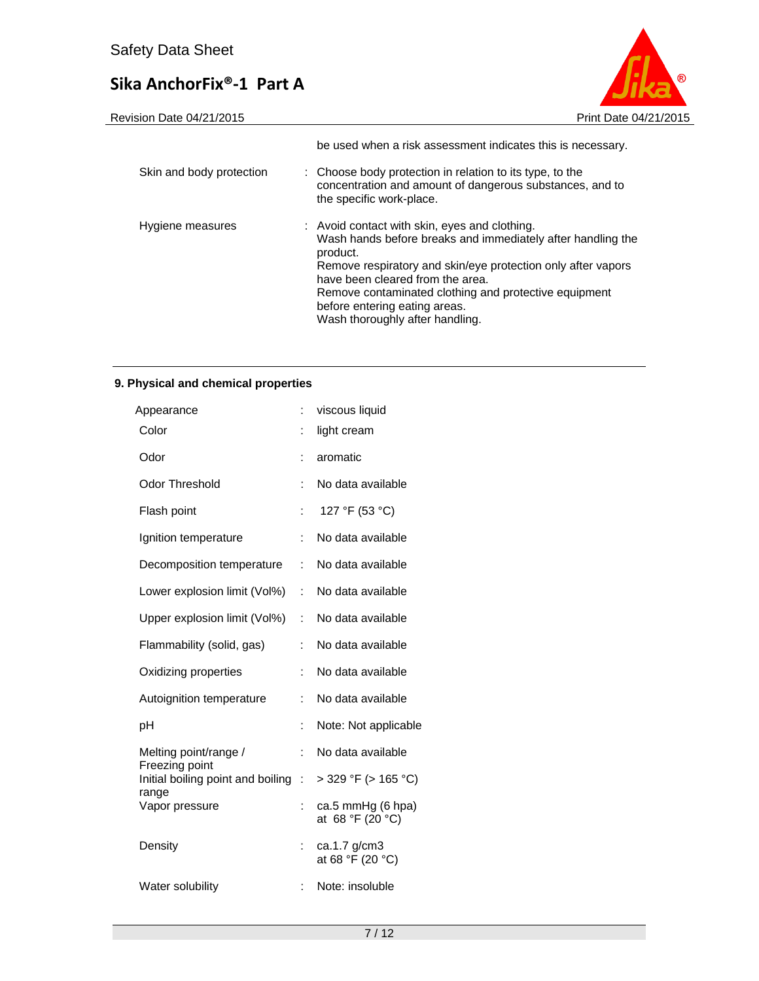

|                          | be used when a risk assessment indicates this is necessary.                                                                                                                                                                                                                                                                                               |
|--------------------------|-----------------------------------------------------------------------------------------------------------------------------------------------------------------------------------------------------------------------------------------------------------------------------------------------------------------------------------------------------------|
| Skin and body protection | : Choose body protection in relation to its type, to the<br>concentration and amount of dangerous substances, and to<br>the specific work-place.                                                                                                                                                                                                          |
| Hygiene measures         | : Avoid contact with skin, eyes and clothing.<br>Wash hands before breaks and immediately after handling the<br>product.<br>Remove respiratory and skin/eye protection only after vapors<br>have been cleared from the area.<br>Remove contaminated clothing and protective equipment<br>before entering eating areas.<br>Wash thoroughly after handling. |

### **9. Physical and chemical properties**

| Appearance                              | ÷  | viscous liquid                        |
|-----------------------------------------|----|---------------------------------------|
| Color                                   |    | light cream                           |
| Odor                                    |    | aromatic                              |
| <b>Odor Threshold</b>                   | ÷  | No data available                     |
| Flash point                             | ÷  | 127 °F (53 °C)                        |
| Ignition temperature                    | ÷  | No data available                     |
| Decomposition temperature               | ÷  | No data available                     |
| Lower explosion limit (Vol%)            | ÷. | No data available                     |
| Upper explosion limit (Vol%)            | ÷  | No data available                     |
| Flammability (solid, gas)               | ÷  | No data available                     |
| Oxidizing properties                    | ÷  | No data available                     |
| Autoignition temperature                | ÷  | No data available                     |
| рH                                      | ÷  | Note: Not applicable                  |
| Melting point/range /<br>Freezing point | ÷  | No data available                     |
| Initial boiling point and boiling       | ÷. | $>$ 329 °F ( $>$ 165 °C)              |
| range<br>Vapor pressure                 | ÷  | ca.5 mmHg (6 hpa)<br>at 68 °F (20 °C) |
| Density                                 | ÷  | ca.1.7 g/cm3<br>at 68 °F (20 °C)      |
| Water solubility                        | ÷  | Note: insoluble                       |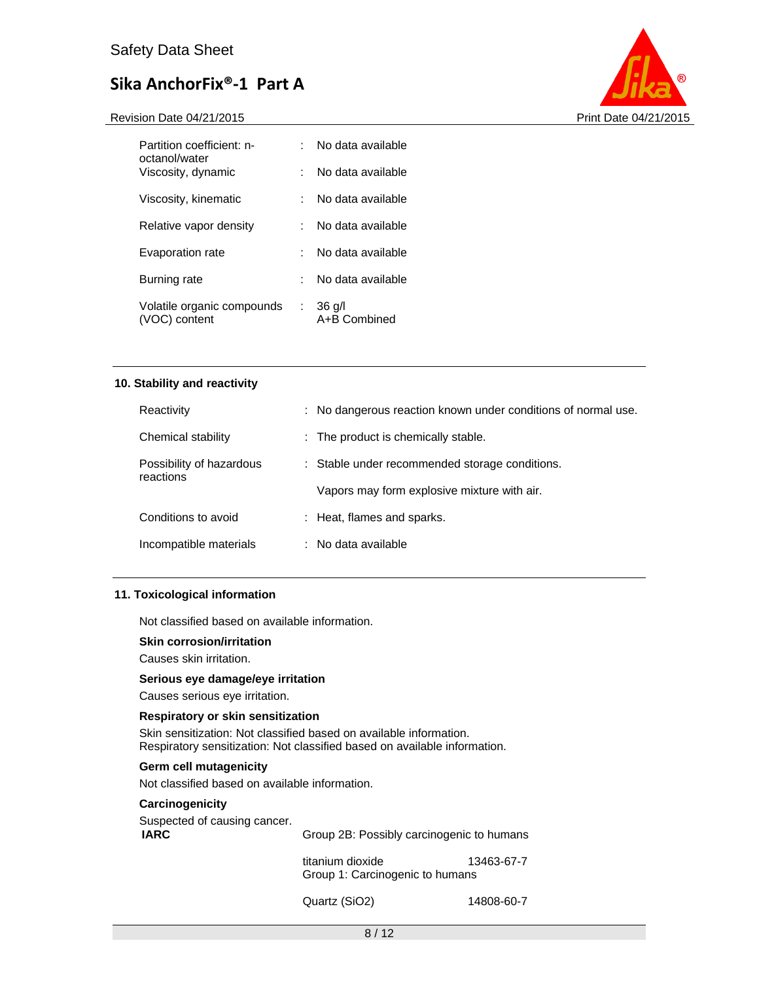Revision Date 04/21/2015 **Print Date 04/21/2015** 



| Partition coefficient: n-<br>octanol/water  |    | No data available        |
|---------------------------------------------|----|--------------------------|
| Viscosity, dynamic                          |    | No data available        |
| Viscosity, kinematic                        |    | No data available        |
| Relative vapor density                      |    | No data available        |
| Evaporation rate                            |    | No data available        |
| Burning rate                                |    | No data available        |
| Volatile organic compounds<br>(VOC) content | ÷. | $36$ g/l<br>A+B Combined |

#### **10. Stability and reactivity**

| Reactivity                            | : No dangerous reaction known under conditions of normal use. |
|---------------------------------------|---------------------------------------------------------------|
| Chemical stability                    | : The product is chemically stable.                           |
| Possibility of hazardous<br>reactions | : Stable under recommended storage conditions.                |
|                                       | Vapors may form explosive mixture with air.                   |
| Conditions to avoid                   | : Heat, flames and sparks.                                    |
| Incompatible materials                | : No data available                                           |

#### **11. Toxicological information**

Not classified based on available information.

#### **Skin corrosion/irritation**

Causes skin irritation.

#### **Serious eye damage/eye irritation**

Causes serious eye irritation.

#### **Respiratory or skin sensitization**

Skin sensitization: Not classified based on available information. Respiratory sensitization: Not classified based on available information.

#### **Germ cell mutagenicity**

Not classified based on available information.

### **Carcinogenicity**

Suspected of causing cancer. **IARC** Group 2B: Possibly carcinogenic to humans

titanium dioxide 13463-67-7 Group 1: Carcinogenic to humans

Quartz (SiO2) 14808-60-7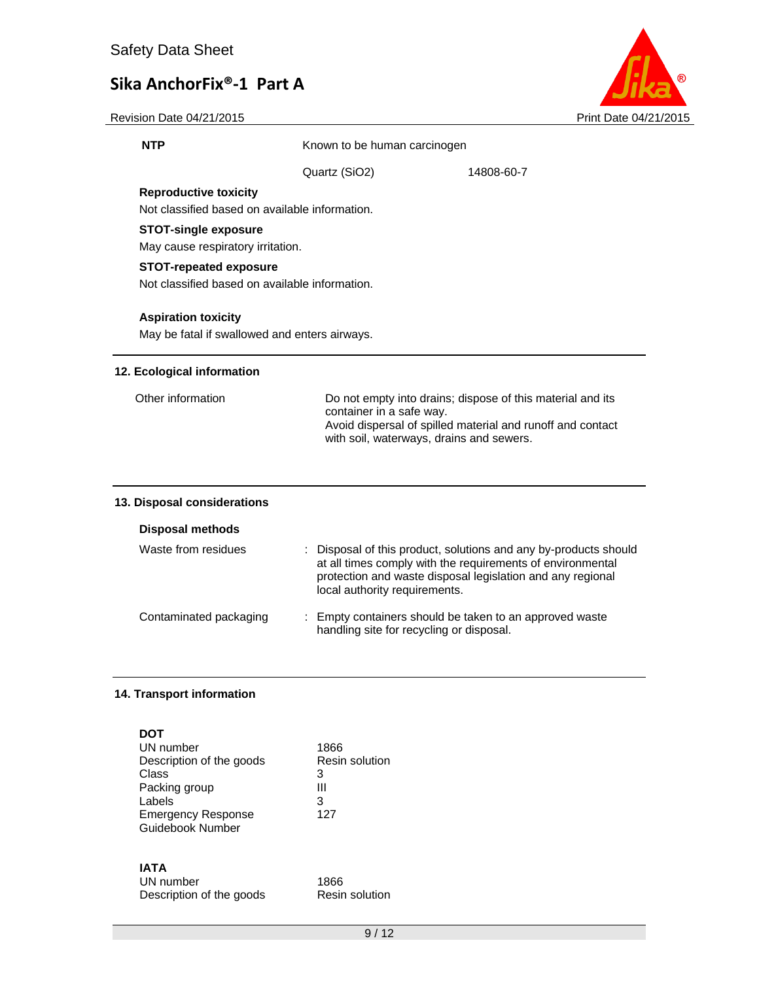

Revision Date 04/21/2015 **Print Date 04/21/2015** 

**NTP** Known to be human carcinogen

Quartz (SiO2) 14808-60-7

#### **Reproductive toxicity**

Not classified based on available information.

### **STOT-single exposure**

May cause respiratory irritation.

### **STOT-repeated exposure**

Not classified based on available information.

#### **Aspiration toxicity**

May be fatal if swallowed and enters airways.

#### **12. Ecological information**

| Other information | Do not empty into drains; dispose of this material and its<br>container in a safe way.<br>Avoid dispersal of spilled material and runoff and contact<br>with soil, waterways, drains and sewers. |
|-------------------|--------------------------------------------------------------------------------------------------------------------------------------------------------------------------------------------------|
|                   |                                                                                                                                                                                                  |

### **13. Disposal considerations**

#### **Disposal methods**

| Waste from residues    | : Disposal of this product, solutions and any by-products should<br>at all times comply with the requirements of environmental<br>protection and waste disposal legislation and any regional<br>local authority requirements. |
|------------------------|-------------------------------------------------------------------------------------------------------------------------------------------------------------------------------------------------------------------------------|
| Contaminated packaging | : Empty containers should be taken to an approved waste<br>handling site for recycling or disposal.                                                                                                                           |

#### **14. Transport information**

| DOT                       |                |
|---------------------------|----------------|
| UN number                 | 1866           |
| Description of the goods  | Resin solution |
| Class                     | 3              |
| Packing group             | Ш              |
| Labels                    | 3              |
| <b>Emergency Response</b> | 127            |
| Guidebook Number          |                |
|                           |                |
|                           |                |

## **IATA**

| UN number                | 1866           |
|--------------------------|----------------|
| Description of the goods | Resin solution |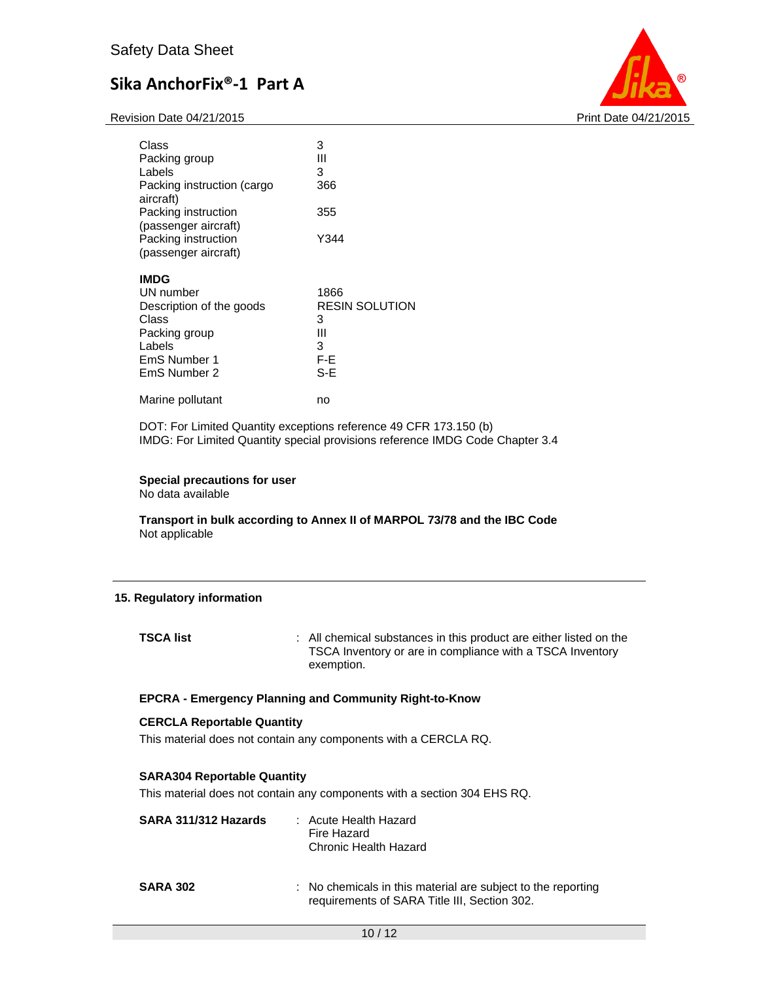Revision Date 04/21/2015 **Print Date 04/21/2015** Print Date 04/21/2015



| Class                      | 3                     |
|----------------------------|-----------------------|
| Packing group              | Ш                     |
| Labels                     | 3                     |
| Packing instruction (cargo | 366                   |
| aircraft)                  |                       |
| Packing instruction        | 355                   |
| (passenger aircraft)       |                       |
| Packing instruction        | Y344                  |
| (passenger aircraft)       |                       |
| <b>IMDG</b>                |                       |
| UN number                  | 1866                  |
| Description of the goods   | <b>RESIN SOLUTION</b> |
| Class                      | 3                     |
| Packing group              | Ш                     |
| Labels                     | 3                     |
| EmS Number 1               | F-E                   |
| EmS Number 2               | S-E                   |
| Marine pollutant           | no                    |

DOT: For Limited Quantity exceptions reference 49 CFR 173.150 (b) IMDG: For Limited Quantity special provisions reference IMDG Code Chapter 3.4

### **Special precautions for user**

No data available

**Transport in bulk according to Annex II of MARPOL 73/78 and the IBC Code**  Not applicable

#### **15. Regulatory information**

**TSCA list** : All chemical substances in this product are either listed on the TSCA Inventory or are in compliance with a TSCA Inventory exemption.

#### **EPCRA - Emergency Planning and Community Right-to-Know**

### **CERCLA Reportable Quantity**

This material does not contain any components with a CERCLA RQ.

### **SARA304 Reportable Quantity**

This material does not contain any components with a section 304 EHS RQ.

| SARA 311/312 Hazards | : Acute Health Hazard<br>Fire Hazard<br><b>Chronic Health Hazard</b>                                         |
|----------------------|--------------------------------------------------------------------------------------------------------------|
| <b>SARA 302</b>      | : No chemicals in this material are subject to the reporting<br>requirements of SARA Title III, Section 302. |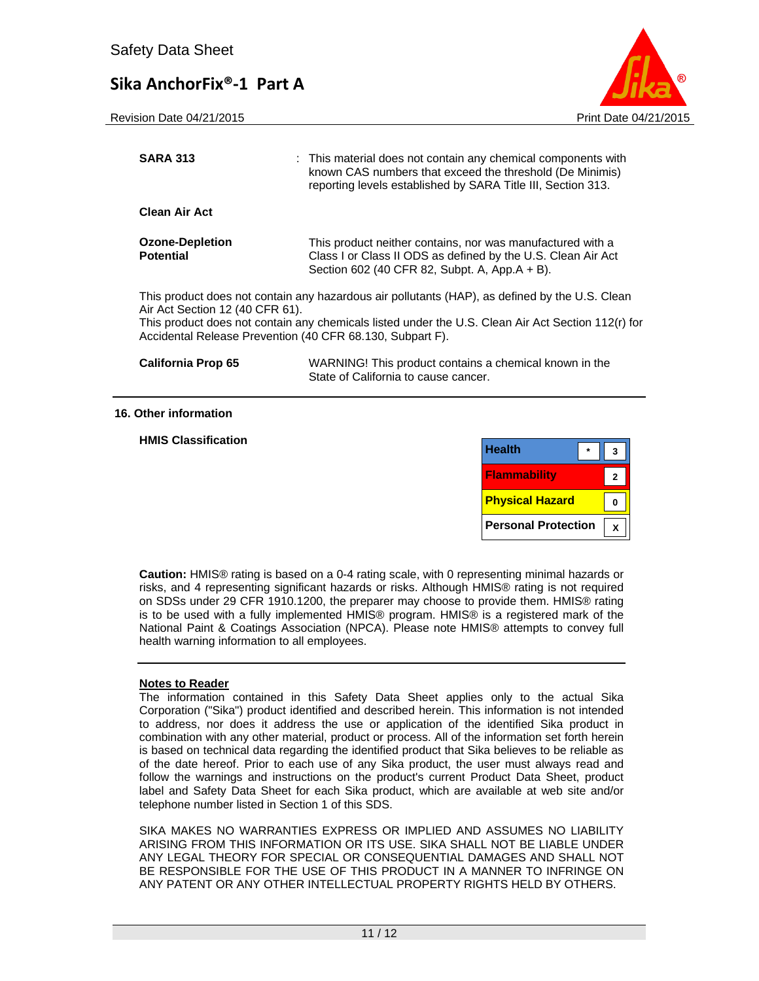Revision Date 04/21/2015 **Print Date 04/21/2015** Print Date 04/21/2015



| <b>SARA 313</b>                                                                              | : This material does not contain any chemical components with<br>known CAS numbers that exceed the threshold (De Minimis)<br>reporting levels established by SARA Title III, Section 313.            |
|----------------------------------------------------------------------------------------------|------------------------------------------------------------------------------------------------------------------------------------------------------------------------------------------------------|
| <b>Clean Air Act</b>                                                                         |                                                                                                                                                                                                      |
| <b>Ozone-Depletion</b><br><b>Potential</b>                                                   | This product neither contains, nor was manufactured with a<br>Class I or Class II ODS as defined by the U.S. Clean Air Act<br>Section 602 (40 CFR 82, Subpt. A, App.A + B).                          |
| Air Act Section 12 (40 CFR 61).<br>Accidental Release Prevention (40 CFR 68.130, Subpart F). | This product does not contain any hazardous air pollutants (HAP), as defined by the U.S. Clean<br>This product does not contain any chemicals listed under the U.S. Clean Air Act Section 112(r) for |
| <b>California Prop 65</b>                                                                    | WARNING! This product contains a chemical known in the                                                                                                                                               |

State of California to cause cancer.

#### **16. Other information**

**HMIS Classification** 

| <b>Health</b>              |  |
|----------------------------|--|
| <b>Flammability</b>        |  |
| <b>Physical Hazard</b>     |  |
| <b>Personal Protection</b> |  |

**Caution:** HMIS® rating is based on a 0-4 rating scale, with 0 representing minimal hazards or risks, and 4 representing significant hazards or risks. Although HMIS® rating is not required on SDSs under 29 CFR 1910.1200, the preparer may choose to provide them. HMIS® rating is to be used with a fully implemented HMIS® program. HMIS® is a registered mark of the National Paint & Coatings Association (NPCA). Please note HMIS® attempts to convey full health warning information to all employees.

#### **Notes to Reader**

The information contained in this Safety Data Sheet applies only to the actual Sika Corporation ("Sika") product identified and described herein. This information is not intended to address, nor does it address the use or application of the identified Sika product in combination with any other material, product or process. All of the information set forth herein is based on technical data regarding the identified product that Sika believes to be reliable as of the date hereof. Prior to each use of any Sika product, the user must always read and follow the warnings and instructions on the product's current Product Data Sheet, product label and Safety Data Sheet for each Sika product, which are available at web site and/or telephone number listed in Section 1 of this SDS.

SIKA MAKES NO WARRANTIES EXPRESS OR IMPLIED AND ASSUMES NO LIABILITY ARISING FROM THIS INFORMATION OR ITS USE. SIKA SHALL NOT BE LIABLE UNDER ANY LEGAL THEORY FOR SPECIAL OR CONSEQUENTIAL DAMAGES AND SHALL NOT BE RESPONSIBLE FOR THE USE OF THIS PRODUCT IN A MANNER TO INFRINGE ON ANY PATENT OR ANY OTHER INTELLECTUAL PROPERTY RIGHTS HELD BY OTHERS.